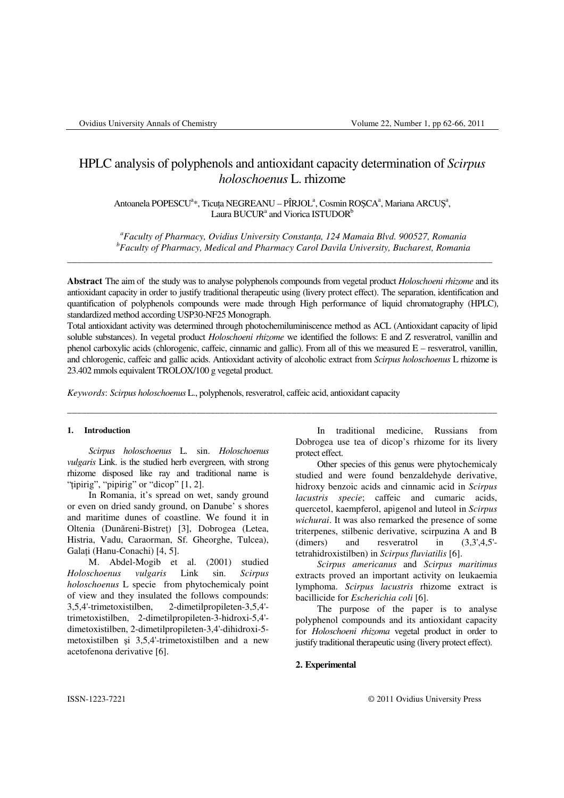# HPLC analysis of polyphenols and antioxidant capacity determination of *Scirpus holoschoenus* L. rhizome

# Antoanela POPESCU<sup>a</sup>\*, Ticuța NEGREANU – PÎRJOL<sup>a</sup>, Cosmin ROȘCA<sup>a</sup>, Mariana ARCUȘ<sup>a</sup>, Laura BUCUR<sup>a</sup> and Viorica ISTUDOR<sup>b</sup>

*<sup>a</sup>Faculty of Pharmacy, Ovidius University Constan*ţ*a, 124 Mamaia Blvd. 900527, Romania <sup>b</sup>Faculty of Pharmacy, Medical and Pharmacy Carol Davila University, Bucharest, Romania* 

**Abstract** The aim of the study was to analyse polyphenols compounds from vegetal product *Holoschoeni rhizome* and its antioxidant capacity in order to justify traditional therapeutic using (livery protect effect). The separation, identification and quantification of polyphenols compounds were made through High performance of liquid chromatography (HPLC), standardized method according USP30-NF25 Monograph.

\_\_\_\_\_\_\_\_\_\_\_\_\_\_\_\_\_\_\_\_\_\_\_\_\_\_\_\_\_\_\_\_\_\_\_\_\_\_\_\_\_\_\_\_\_\_\_\_\_\_\_\_\_\_\_\_\_\_\_\_\_\_\_\_\_\_\_\_\_\_\_\_\_\_\_\_\_\_\_\_\_\_\_\_\_\_\_\_\_

Total antioxidant activity was determined through photochemiluminiscence method as ACL (Antioxidant capacity of lipid soluble substances). In vegetal product *Holoschoeni rhizome* we identified the follows: E and Z resveratrol, vanillin and phenol carboxylic acids (chlorogenic, caffeic, cinnamic and gallic). From all of this we measured  $E -$  resveratrol, vanillin, and chlorogenic, caffeic and gallic acids. Antioxidant activity of alcoholic extract from *Scirpus holoschoenus* L rhizome is 23.402 mmols equivalent TROLOX/100 g vegetal product.

\_\_\_\_\_\_\_\_\_\_\_\_\_\_\_\_\_\_\_\_\_\_\_\_\_\_\_\_\_\_\_\_\_\_\_\_\_\_\_\_\_\_\_\_\_\_\_\_\_\_\_\_\_\_\_\_\_\_\_\_\_\_\_\_\_\_\_\_\_\_\_\_\_\_\_\_\_\_\_\_\_\_\_\_\_\_\_\_\_\_

*Keywords*: *Scirpus holoschoenus* L., polyphenols, resveratrol, caffeic acid, antioxidant capacity

## **1. Introduction**

*Scirpus holoschoenus* L. sin. *Holoschoenus vulgaris* Link. is the studied herb evergreen, with strong rhizome disposed like ray and traditional name is "tipirig", "pipirig" or "dicop" [1, 2].

In Romania, it's spread on wet, sandy ground or even on dried sandy ground, on Danube' s shores and maritime dunes of coastline. We found it in Oltenia (Dunăreni-Bistreţ) [3], Dobrogea (Letea, Histria, Vadu, Caraorman, Sf. Gheorghe, Tulcea), Galați (Hanu-Conachi) [4, 5].

M. Abdel-Mogib et al. (2001) studied *Holoschoenus vulgaris* Link sin. *Scirpus holoschoenus* L specie from phytochemicaly point of view and they insulated the follows compounds: 3,5,4'-trimetoxistilben, 2-dimetilpropileten-3,5,4' trimetoxistilben, 2-dimetilpropileten-3-hidroxi-5,4' dimetoxistilben, 2-dimetilpropileten-3,4'-dihidroxi-5 metoxistilben şi 3,5,4'-trimetoxistilben and a new acetofenona derivative [6].

In traditional medicine, Russians from Dobrogea use tea of dicop's rhizome for its livery protect effect.

Other species of this genus were phytochemicaly studied and were found benzaldehyde derivative, hidroxy benzoic acids and cinnamic acid in *Scirpus lacustris specie*; caffeic and cumaric acids, quercetol, kaempferol, apigenol and luteol in *Scirpus wichurai*. It was also remarked the presence of some triterpenes, stilbenic derivative, scirpuzina A and B (dimers) and resveratrol in (3,3',4,5' tetrahidroxistilben) in *Scirpus fluviatilis* [6].

*Scirpus americanus* and *Scirpus maritimus*  extracts proved an important activity on leukaemia lymphoma. *Scirpus lacustris* rhizome extract is bacillicide for *Escherichia coli* [6].

The purpose of the paper is to analyse polyphenol compounds and its antioxidant capacity for *Holoschoeni rhizoma* vegetal product in order to justify traditional therapeutic using (livery protect effect).

## **2. Experimental**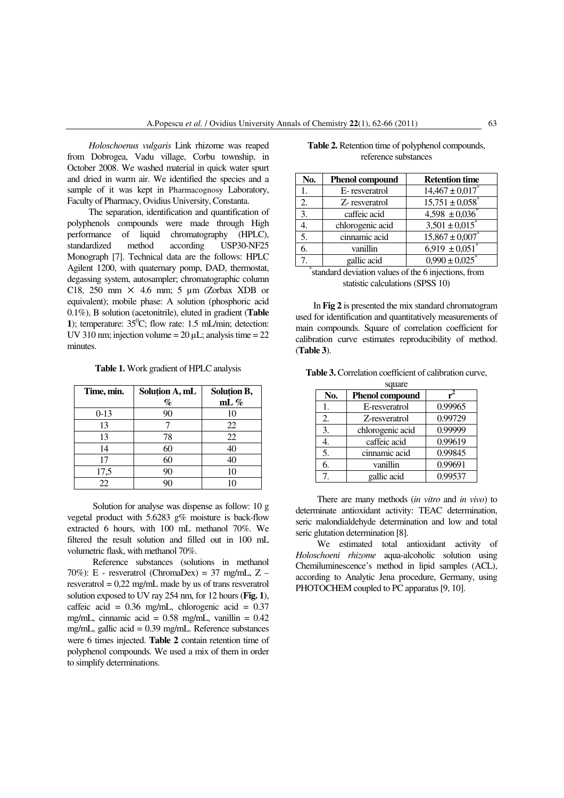*Holoschoenus vulgaris* Link rhizome was reaped from Dobrogea, Vadu village, Corbu township, in October 2008. We washed material in quick water spurt and dried in warm air. We identified the species and a sample of it was kept in Pharmacognosy Laboratory, Faculty of Pharmacy, Ovidius University, Constanta.

The separation, identification and quantification of polyphenols compounds were made through High performance of liquid chromatography (HPLC), standardized method according USP30-NF25 Monograph [7]. Technical data are the follows: HPLC Agilent 1200, with quaternary pomp, DAD, thermostat, degassing system, autosampler; chromatographic column C18, 250 mm  $\times$  4.6 mm; 5 µm (Zorbax XDB or equivalent); mobile phase: A solution (phosphoric acid 0.1%), B solution (acetonitrile), eluted in gradient (**Table 1**); temperature:  $35^{\circ}$ C; flow rate: 1.5 mL/min; detection: UV 310 nm; injection volume  $= 20 \mu L$ ; analysis time  $= 22$ minutes.

**Table 1.** Work gradient of HPLC analysis

| Time, min. | Solution A, mL<br>$\%$ | Solution B,<br>mL $%$ |
|------------|------------------------|-----------------------|
| $0-13$     | 90                     | 10                    |
| 13         |                        | 22                    |
| 13         | 78                     | 22                    |
| 14         | 60                     | 40                    |
| 17         | 60                     | 40                    |
| 17,5       | 90                     | 10                    |
| 22         |                        |                       |

 Solution for analyse was dispense as follow: 10 g vegetal product with 5.6283 g% moisture is back-flow extracted 6 hours, with 100 mL methanol 70%. We filtered the result solution and filled out in 100 mL volumetric flask, with methanol 70%.

 Reference substances (solutions in methanol 70%): E - resveratrol (ChromaDex) = 37 mg/mL,  $Z$ resveratrol = 0,22 mg/mL made by us of trans resveratrol solution exposed to UV ray 254 nm, for 12 hours (**Fig. 1**), caffeic acid =  $0.36$  mg/mL, chlorogenic acid =  $0.37$ mg/mL, cinnamic acid =  $0.58$  mg/mL, vanillin =  $0.42$ mg/mL, gallic acid = 0.39 mg/mL. Reference substances were 6 times injected. **Table 2** contain retention time of polyphenol compounds. We used a mix of them in order to simplify determinations.

| No.                                                                                     | <b>Phenol compound</b> | <b>Retention time</b>           |  |  |
|-----------------------------------------------------------------------------------------|------------------------|---------------------------------|--|--|
|                                                                                         | E-resveratrol          | $14,467 \pm 0,017$ <sup>*</sup> |  |  |
| $\overline{2}$ .                                                                        | Z-resveratrol          | $15,751 \pm 0,058$ <sup>*</sup> |  |  |
| 3.                                                                                      | caffeic acid           | $4,598 \pm 0,036$               |  |  |
|                                                                                         | chlorogenic acid       | $3,501 \pm 0,015$ <sup>*</sup>  |  |  |
| 5.                                                                                      | cinnamic acid          | $15,867 \pm 0,007$ *            |  |  |
| 6.                                                                                      | vanillin               | $6,919 \pm 0,051$               |  |  |
|                                                                                         | gallic acid            | $0,990 \pm 0,025$               |  |  |
| $-1$ $-1$ $-1$ $-1$<br>.<br>$\mathbf{r}$<br>$\mathbf{I}$<br>$\mathcal{C}$ $\mathcal{A}$ |                        |                                 |  |  |

| Table 2. Retention time of polyphenol compounds, |
|--------------------------------------------------|
| reference substances                             |

\* standard deviation values of the 6 injections, from statistic calculations (SPSS 10)

 In **Fig 2** is presented the mix standard chromatogram used for identification and quantitatively measurements of main compounds. Square of correlation coefficient for calibration curve estimates reproducibility of method. (**Table 3**).

| square |                        |         |  |  |
|--------|------------------------|---------|--|--|
| No.    | <b>Phenol compound</b> |         |  |  |
|        | E-resveratrol          | 0.99965 |  |  |
| 2.     | Z-resveratrol          | 0.99729 |  |  |
| 3.     | chlorogenic acid       | 0.99999 |  |  |
| 4.     | caffeic acid           | 0.99619 |  |  |
| 5.     | cinnamic acid          | 0.99845 |  |  |
| 6.     | vanillin               | 0.99691 |  |  |
| 7.     | gallic acid            | 0.99537 |  |  |

There are many methods (*in vitro* and *in vivo*) to determinate antioxidant activity: TEAC determination, seric malondialdehyde determination and low and total seric glutation determination [8].

 We estimated total antioxidant activity of *Holoschoeni rhizome* aqua-alcoholic solution using Chemiluminescence's method in lipid samples (ACL), according to Analytic Jena procedure, Germany, using PHOTOCHEM coupled to PC apparatus [9, 10].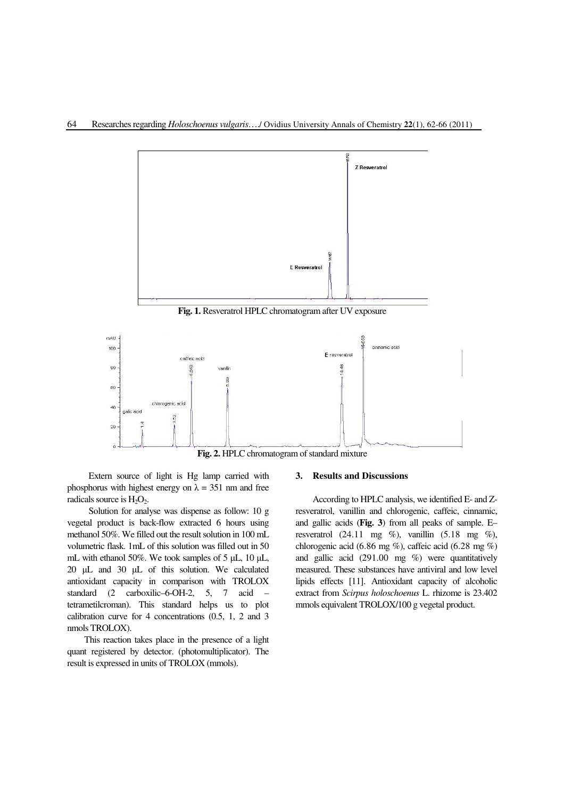

**Fig. 1.** Resveratrol HPLC chromatogram after UV exposure



**Fig. 2.** HPLC chromatogram of standard mixture

Extern source of light is Hg lamp carried with phosphorus with highest energy on  $\lambda = 351$  nm and free radicals source is  $H_2O_2$ .

Solution for analyse was dispense as follow: 10 g vegetal product is back-flow extracted 6 hours using methanol 50%. We filled out the result solution in 100 mL volumetric flask. 1mL of this solution was filled out in 50 mL with ethanol 50%. We took samples of 5 µL, 10 µL, 20 µL and 30 µL of this solution. We calculated antioxidant capacity in comparison with TROLOX standard (2 carboxilic–6-OH-2, 5, 7 acid – tetrametilcroman). This standard helps us to plot calibration curve for 4 concentrations (0.5, 1, 2 and 3 nmols TROLOX).

This reaction takes place in the presence of a light quant registered by detector. (photomultiplicator). The result is expressed in units of TROLOX (mmols).

#### **3. Results and Discussions**

According to HPLC analysis, we identified E- and Zresveratrol, vanillin and chlorogenic, caffeic, cinnamic, and gallic acids (**Fig. 3**) from all peaks of sample. E– resveratrol (24.11 mg  $\%$ ), vanillin (5.18 mg  $\%$ ), chlorogenic acid (6.86 mg %), caffeic acid (6.28 mg %) and gallic acid (291.00 mg %) were quantitatively measured. These substances have antiviral and low level lipids effects [11]. Antioxidant capacity of alcoholic extract from *Scirpus holoschoenus* L. rhizome is 23.402 mmols equivalent TROLOX/100 g vegetal product.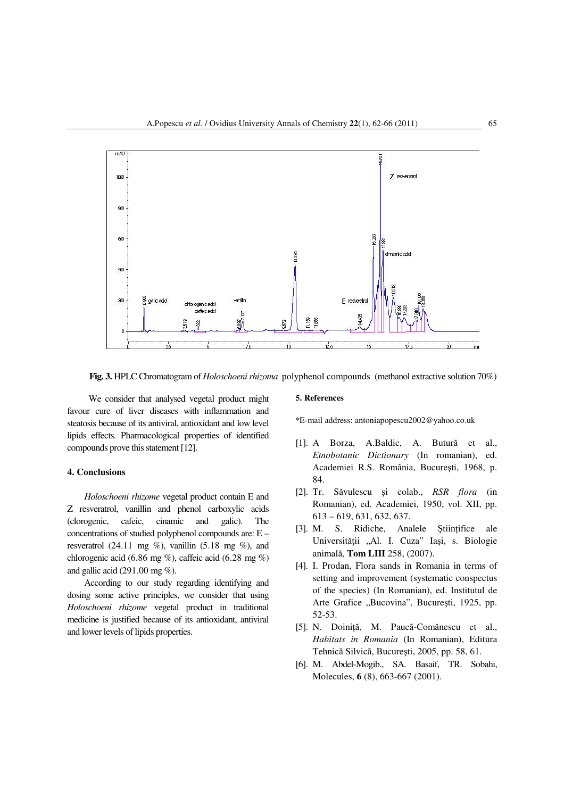

**Fig. 3.** HPLC Chromatogram of *Holoschoeni rhizoma* polyphenol compounds (methanol extractive solution 70%)

We consider that analysed vegetal product might favour cure of liver diseases with inflammation and steatosis because of its antiviral, antioxidant and low level lipids effects. Pharmacological properties of identified compounds prove this statement [12].

## **4. Conclusions**

*Holoschoeni rhizome* vegetal product contain E and Z resveratrol, vanillin and phenol carboxylic acids (clorogenic, cafeic, cinamic and galic). The concentrations of studied polyphenol compounds are: E – resveratrol (24.11 mg  $\%$ ), vanillin (5.18 mg  $\%$ ), and chlorogenic acid (6.86 mg  $\%$ ), caffeic acid (6.28 mg  $\%$ ) and gallic acid (291.00 mg %).

According to our study regarding identifying and dosing some active principles, we consider that using *Holoschoeni rhizome* vegetal product in traditional medicine is justified because of its antioxidant, antiviral and lower levels of lipids properties.

## **5. References**

\*E-mail address: antoniapopescu2002@yahoo.co.uk

- [1]. A Borza, A.Baldic, A. Butură et al., *Etnobotanic Dictionary* (In romanian), ed. Academiei R.S. România, Bucureşti, 1968, p. 84.
- [2]. Tr. Săvulescu şi colab., *RSR flora* (in Romanian), ed. Academiei, 1950, vol. XII, pp. 613 – 619, 631, 632, 637.
- [3]. M. S. Ridiche, Analele Ştiinţifice ale Universității "Al. I. Cuza" Iași, s. Biologie animală, **Tom LIII** 258, (2007).
- [4]. I. Prodan, Flora sands in Romania in terms of setting and improvement (systematic conspectus of the species) (In Romanian), ed. Institutul de Arte Grafice "Bucovina", București, 1925, pp. 52-53.
- [5]. N. Doiniţă, M. Paucă-Comănescu et al., *Habitats in Romania* (In Romanian), Editura Tehnică Silvică, Bucureşti, 2005, pp. 58, 61.
- [6]. M. Abdel-Mogib., SA. Basaif, TR. Sobahi, Molecules, **6** (8), 663-667 (2001).